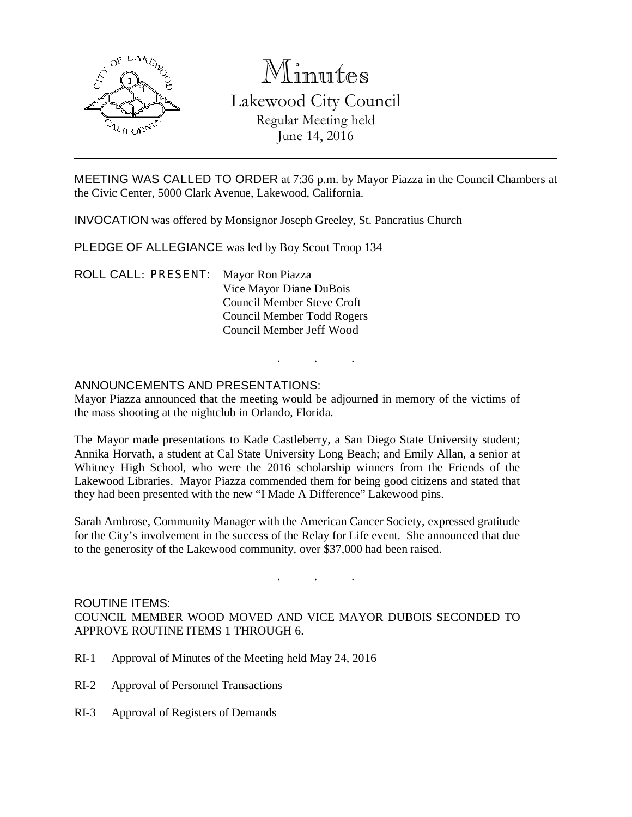

# Minutes

Lakewood City Council Regular Meeting held June 14, 2016

MEETING WAS CALLED TO ORDER at 7:36 p.m. by Mayor Piazza in the Council Chambers at the Civic Center, 5000 Clark Avenue, Lakewood, California.

INVOCATION was offered by Monsignor Joseph Greeley, St. Pancratius Church

PLEDGE OF ALLEGIANCE was led by Boy Scout Troop 134

ROLL CALL: PRESENT: Mayor Ron Piazza Vice Mayor Diane DuBois Council Member Steve Croft Council Member Todd Rogers Council Member Jeff Wood

# ANNOUNCEMENTS AND PRESENTATIONS:

Mayor Piazza announced that the meeting would be adjourned in memory of the victims of the mass shooting at the nightclub in Orlando, Florida.

. . .

The Mayor made presentations to Kade Castleberry, a San Diego State University student; Annika Horvath, a student at Cal State University Long Beach; and Emily Allan, a senior at Whitney High School, who were the 2016 scholarship winners from the Friends of the Lakewood Libraries. Mayor Piazza commended them for being good citizens and stated that they had been presented with the new "I Made A Difference" Lakewood pins.

Sarah Ambrose, Community Manager with the American Cancer Society, expressed gratitude for the City's involvement in the success of the Relay for Life event. She announced that due to the generosity of the Lakewood community, over \$37,000 had been raised.

# ROUTINE ITEMS: COUNCIL MEMBER WOOD MOVED AND VICE MAYOR DUBOIS SECONDED TO APPROVE ROUTINE ITEMS 1 THROUGH 6.

. . .

- RI-1 Approval of Minutes of the Meeting held May 24, 2016
- RI-2 Approval of Personnel Transactions
- RI-3 Approval of Registers of Demands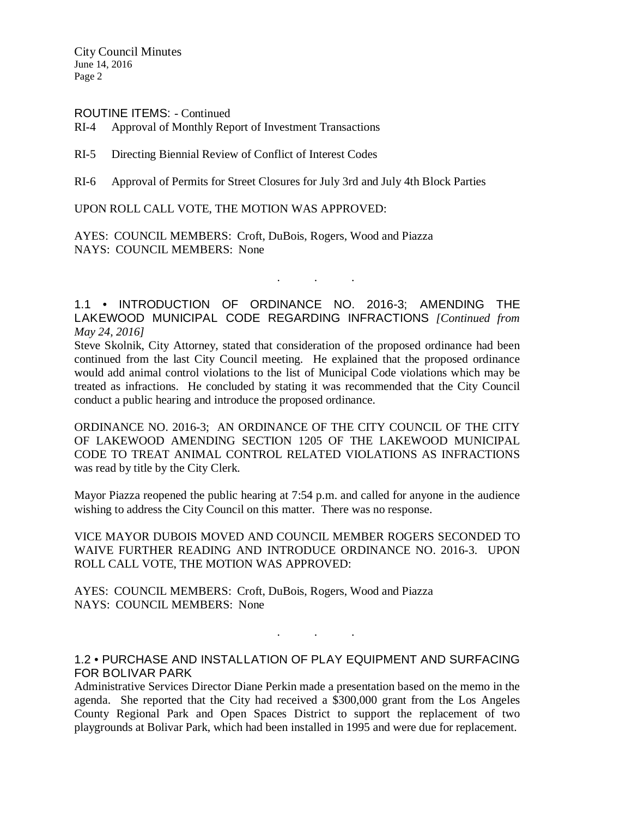City Council Minutes June 14, 2016 Page 2

#### ROUTINE ITEMS: - Continued

RI-4 Approval of Monthly Report of Investment Transactions

RI-5 Directing Biennial Review of Conflict of Interest Codes

RI-6 Approval of Permits for Street Closures for July 3rd and July 4th Block Parties

UPON ROLL CALL VOTE, THE MOTION WAS APPROVED:

AYES: COUNCIL MEMBERS: Croft, DuBois, Rogers, Wood and Piazza NAYS: COUNCIL MEMBERS: None

1.1 • INTRODUCTION OF ORDINANCE NO. 2016-3; AMENDING THE LAKEWOOD MUNICIPAL CODE REGARDING INFRACTIONS *[Continued from May 24, 2016]*

. . .

Steve Skolnik, City Attorney, stated that consideration of the proposed ordinance had been continued from the last City Council meeting. He explained that the proposed ordinance would add animal control violations to the list of Municipal Code violations which may be treated as infractions. He concluded by stating it was recommended that the City Council conduct a public hearing and introduce the proposed ordinance.

ORDINANCE NO. 2016-3; AN ORDINANCE OF THE CITY COUNCIL OF THE CITY OF LAKEWOOD AMENDING SECTION 1205 OF THE LAKEWOOD MUNICIPAL CODE TO TREAT ANIMAL CONTROL RELATED VIOLATIONS AS INFRACTIONS was read by title by the City Clerk.

Mayor Piazza reopened the public hearing at 7:54 p.m. and called for anyone in the audience wishing to address the City Council on this matter. There was no response.

VICE MAYOR DUBOIS MOVED AND COUNCIL MEMBER ROGERS SECONDED TO WAIVE FURTHER READING AND INTRODUCE ORDINANCE NO. 2016-3. UPON ROLL CALL VOTE, THE MOTION WAS APPROVED:

AYES: COUNCIL MEMBERS: Croft, DuBois, Rogers, Wood and Piazza NAYS: COUNCIL MEMBERS: None

### 1.2 • PURCHASE AND INSTALLATION OF PLAY EQUIPMENT AND SURFACING FOR BOLIVAR PARK

. . .

Administrative Services Director Diane Perkin made a presentation based on the memo in the agenda. She reported that the City had received a \$300,000 grant from the Los Angeles County Regional Park and Open Spaces District to support the replacement of two playgrounds at Bolivar Park, which had been installed in 1995 and were due for replacement.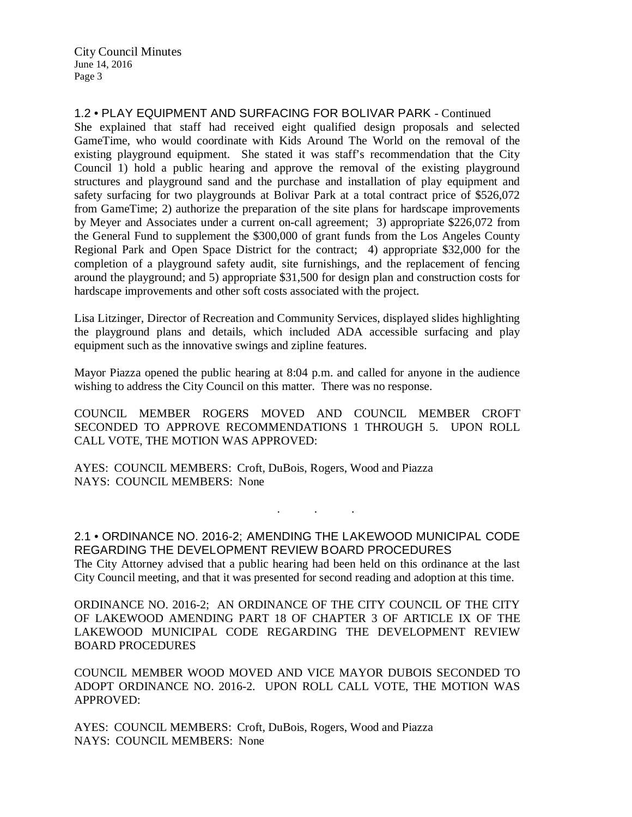City Council Minutes June 14, 2016 Page 3

1.2 • PLAY EQUIPMENT AND SURFACING FOR BOLIVAR PARK - Continued

She explained that staff had received eight qualified design proposals and selected GameTime, who would coordinate with Kids Around The World on the removal of the existing playground equipment. She stated it was staff's recommendation that the City Council 1) hold a public hearing and approve the removal of the existing playground structures and playground sand and the purchase and installation of play equipment and safety surfacing for two playgrounds at Bolivar Park at a total contract price of \$526,072 from GameTime; 2) authorize the preparation of the site plans for hardscape improvements by Meyer and Associates under a current on-call agreement; 3) appropriate \$226,072 from the General Fund to supplement the \$300,000 of grant funds from the Los Angeles County Regional Park and Open Space District for the contract; 4) appropriate \$32,000 for the completion of a playground safety audit, site furnishings, and the replacement of fencing around the playground; and 5) appropriate \$31,500 for design plan and construction costs for hardscape improvements and other soft costs associated with the project.

Lisa Litzinger, Director of Recreation and Community Services, displayed slides highlighting the playground plans and details, which included ADA accessible surfacing and play equipment such as the innovative swings and zipline features.

Mayor Piazza opened the public hearing at 8:04 p.m. and called for anyone in the audience wishing to address the City Council on this matter. There was no response.

COUNCIL MEMBER ROGERS MOVED AND COUNCIL MEMBER CROFT SECONDED TO APPROVE RECOMMENDATIONS 1 THROUGH 5. UPON ROLL CALL VOTE, THE MOTION WAS APPROVED:

AYES: COUNCIL MEMBERS: Croft, DuBois, Rogers, Wood and Piazza NAYS: COUNCIL MEMBERS: None

2.1 • ORDINANCE NO. 2016-2; AMENDING THE LAKEWOOD MUNICIPAL CODE REGARDING THE DEVELOPMENT REVIEW BOARD PROCEDURES The City Attorney advised that a public hearing had been held on this ordinance at the last City Council meeting, and that it was presented for second reading and adoption at this time.

. . .

ORDINANCE NO. 2016-2; AN ORDINANCE OF THE CITY COUNCIL OF THE CITY OF LAKEWOOD AMENDING PART 18 OF CHAPTER 3 OF ARTICLE IX OF THE LAKEWOOD MUNICIPAL CODE REGARDING THE DEVELOPMENT REVIEW BOARD PROCEDURES

COUNCIL MEMBER WOOD MOVED AND VICE MAYOR DUBOIS SECONDED TO ADOPT ORDINANCE NO. 2016-2. UPON ROLL CALL VOTE, THE MOTION WAS APPROVED:

AYES: COUNCIL MEMBERS: Croft, DuBois, Rogers, Wood and Piazza NAYS: COUNCIL MEMBERS: None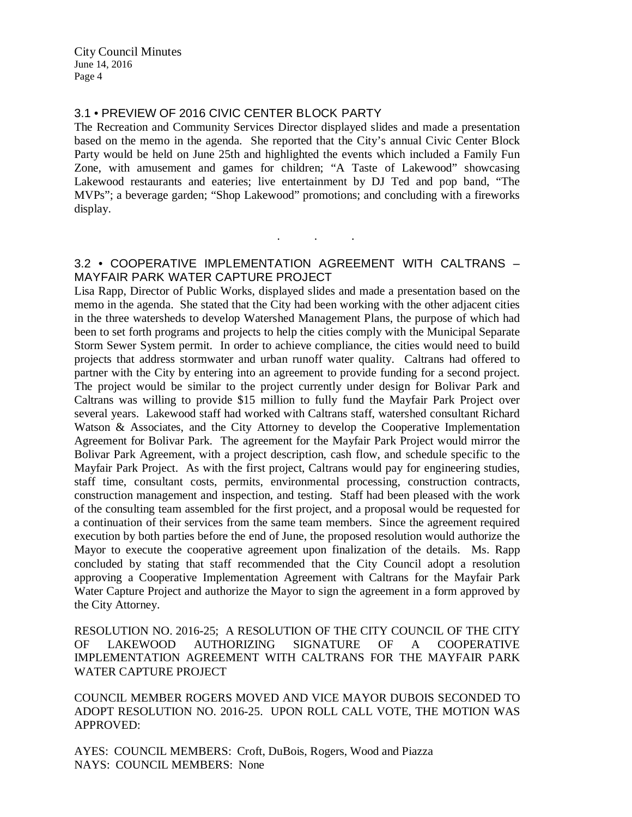# 3.1 • PREVIEW OF 2016 CIVIC CENTER BLOCK PARTY

The Recreation and Community Services Director displayed slides and made a presentation based on the memo in the agenda. She reported that the City's annual Civic Center Block Party would be held on June 25th and highlighted the events which included a Family Fun Zone, with amusement and games for children; "A Taste of Lakewood" showcasing Lakewood restaurants and eateries; live entertainment by DJ Ted and pop band, "The MVPs"; a beverage garden; "Shop Lakewood" promotions; and concluding with a fireworks display.

## 3.2 • COOPERATIVE IMPLEMENTATION AGREEMENT WITH CALTRANS – MAYFAIR PARK WATER CAPTURE PROJECT

. . .

Lisa Rapp, Director of Public Works, displayed slides and made a presentation based on the memo in the agenda. She stated that the City had been working with the other adjacent cities in the three watersheds to develop Watershed Management Plans, the purpose of which had been to set forth programs and projects to help the cities comply with the Municipal Separate Storm Sewer System permit. In order to achieve compliance, the cities would need to build projects that address stormwater and urban runoff water quality. Caltrans had offered to partner with the City by entering into an agreement to provide funding for a second project. The project would be similar to the project currently under design for Bolivar Park and Caltrans was willing to provide \$15 million to fully fund the Mayfair Park Project over several years. Lakewood staff had worked with Caltrans staff, watershed consultant Richard Watson & Associates, and the City Attorney to develop the Cooperative Implementation Agreement for Bolivar Park. The agreement for the Mayfair Park Project would mirror the Bolivar Park Agreement, with a project description, cash flow, and schedule specific to the Mayfair Park Project. As with the first project, Caltrans would pay for engineering studies, staff time, consultant costs, permits, environmental processing, construction contracts, construction management and inspection, and testing. Staff had been pleased with the work of the consulting team assembled for the first project, and a proposal would be requested for a continuation of their services from the same team members. Since the agreement required execution by both parties before the end of June, the proposed resolution would authorize the Mayor to execute the cooperative agreement upon finalization of the details. Ms. Rapp concluded by stating that staff recommended that the City Council adopt a resolution approving a Cooperative Implementation Agreement with Caltrans for the Mayfair Park Water Capture Project and authorize the Mayor to sign the agreement in a form approved by the City Attorney.

RESOLUTION NO. 2016-25; A RESOLUTION OF THE CITY COUNCIL OF THE CITY OF LAKEWOOD AUTHORIZING SIGNATURE OF A COOPERATIVE IMPLEMENTATION AGREEMENT WITH CALTRANS FOR THE MAYFAIR PARK WATER CAPTURE PROJECT

COUNCIL MEMBER ROGERS MOVED AND VICE MAYOR DUBOIS SECONDED TO ADOPT RESOLUTION NO. 2016-25. UPON ROLL CALL VOTE, THE MOTION WAS APPROVED:

AYES: COUNCIL MEMBERS: Croft, DuBois, Rogers, Wood and Piazza NAYS: COUNCIL MEMBERS: None